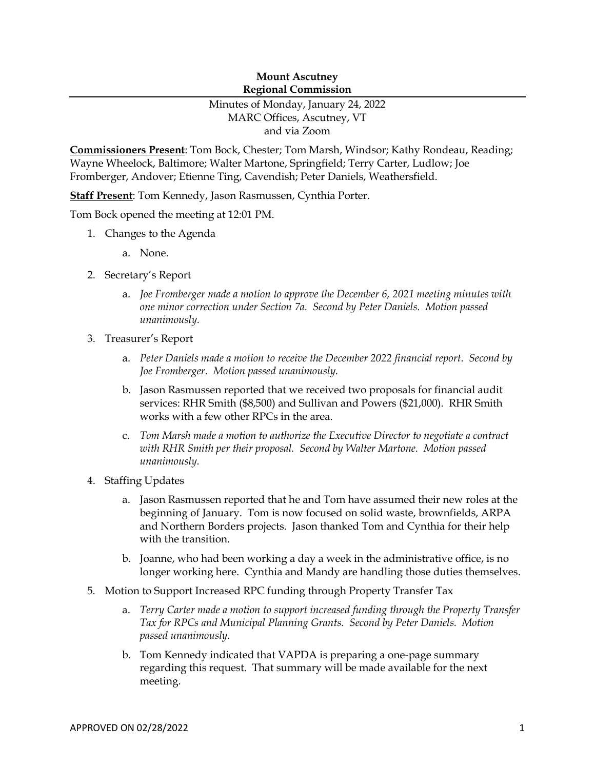### **Mount Ascutney Regional Commission**

# Minutes of Monday, January 24, 2022 MARC Offices, Ascutney, VT and via Zoom

**Commissioners Present**: Tom Bock, Chester; Tom Marsh, Windsor; Kathy Rondeau, Reading; Wayne Wheelock, Baltimore; Walter Martone, Springfield; Terry Carter, Ludlow; Joe Fromberger, Andover; Etienne Ting, Cavendish; Peter Daniels, Weathersfield.

**Staff Present**: Tom Kennedy, Jason Rasmussen, Cynthia Porter.

Tom Bock opened the meeting at 12:01 PM.

- 1. Changes to the Agenda
	- a. None.
- 2. Secretary's Report
	- a. *Joe Fromberger made a motion to approve the December 6, 2021 meeting minutes with one minor correction under Section 7a. Second by Peter Daniels. Motion passed unanimously.*
- 3. Treasurer's Report
	- a. *Peter Daniels made a motion to receive the December 2022 financial report. Second by Joe Fromberger. Motion passed unanimously.*
	- b. Jason Rasmussen reported that we received two proposals for financial audit services: RHR Smith (\$8,500) and Sullivan and Powers (\$21,000). RHR Smith works with a few other RPCs in the area.
	- c. *Tom Marsh made a motion to authorize the Executive Director to negotiate a contract with RHR Smith per their proposal. Second by Walter Martone. Motion passed unanimously.*
- 4. Staffing Updates
	- a. Jason Rasmussen reported that he and Tom have assumed their new roles at the beginning of January. Tom is now focused on solid waste, brownfields, ARPA and Northern Borders projects. Jason thanked Tom and Cynthia for their help with the transition.
	- b. Joanne, who had been working a day a week in the administrative office, is no longer working here. Cynthia and Mandy are handling those duties themselves.
- 5. Motion to Support Increased RPC funding through Property Transfer Tax
	- a. *Terry Carter made a motion to support increased funding through the Property Transfer Tax for RPCs and Municipal Planning Grants. Second by Peter Daniels. Motion passed unanimously.*
	- b. Tom Kennedy indicated that VAPDA is preparing a one-page summary regarding this request. That summary will be made available for the next meeting.